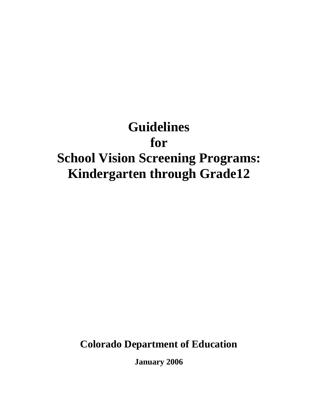# **Guidelines for School Vision Screening Programs: Kindergarten through Grade12**

**Colorado Department of Education** 

**January 2006**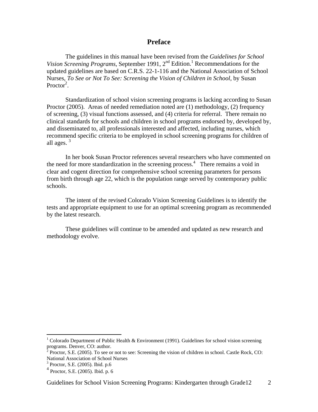#### **Preface**

 The guidelines in this manual have been revised from the *Guidelines for School*  Vision Screening Programs, September 1991, 2<sup>nd</sup> Edition.<sup>1</sup> Recommendations for the updated guidelines are based on C.R.S. 22-1-116 and the National Association of School Nurses, *To See or Not To See: Screening the Vision of Children in School*, by Susan Proctor<sup>2</sup>.

 Standardization of school vision screening programs is lacking according to Susan Proctor (2005). Areas of needed remediation noted are (1) methodology, (2) frequency of screening, (3) visual functions assessed, and (4) criteria for referral. There remain no clinical standards for schools and children in school programs endorsed by, developed by, and disseminated to, all professionals interested and affected, including nurses, which recommend specific criteria to be employed in school screening programs for children of all ages.  $3$ 

 In her book Susan Proctor references several researchers who have commented on the need for more standardization in the screening process.<sup>4</sup> There remains a void in clear and cogent direction for comprehensive school screening parameters for persons from birth through age 22, which is the population range served by contemporary public schools.

 The intent of the revised Colorado Vision Screening Guidelines is to identify the tests and appropriate equipment to use for an optimal screening program as recommended by the latest research.

 These guidelines will continue to be amended and updated as new research and methodology evolve.

<sup>&</sup>lt;sup>1</sup> Colorado Department of Public Health & Environment (1991). Guidelines for school vision screening programs. Denver, CO: author.

 $^2$  Proctor, S.E. (2005). To see or not to see: Screening the vision of children in school. Castle Rock, CO: National Association of School Nurses

<sup>3</sup> Proctor, S.E. (2005). Ibid. p.6

<sup>4</sup> Proctor, S.E. (2005). Ibid. p. 6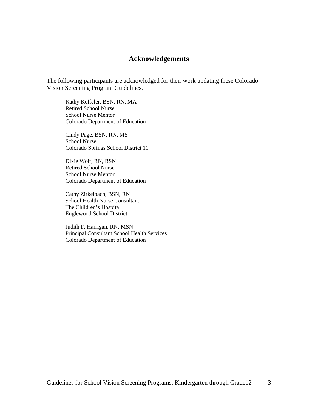## **Acknowledgements**

The following participants are acknowledged for their work updating these Colorado Vision Screening Program Guidelines.

Kathy Keffeler, BSN, RN, MA Retired School Nurse School Nurse Mentor Colorado Department of Education

Cindy Page, BSN, RN, MS School Nurse Colorado Springs School District 11

Dixie Wolf, RN, BSN Retired School Nurse School Nurse Mentor Colorado Department of Education

Cathy Zirkelbach, BSN, RN School Health Nurse Consultant The Children's Hospital Englewood School District

Judith F. Harrigan, RN, MSN Principal Consultant School Health Services Colorado Department of Education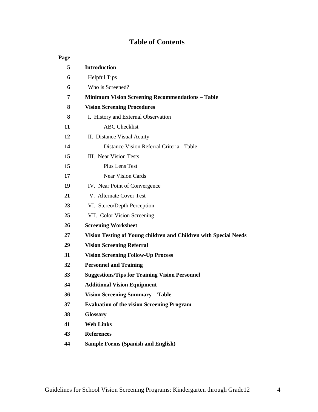# **Table of Contents**

| Page |                                                                  |
|------|------------------------------------------------------------------|
| 5    | <b>Introduction</b>                                              |
| 6    | <b>Helpful Tips</b>                                              |
| 6    | Who is Screened?                                                 |
| 7    | <b>Minimum Vision Screening Recommendations - Table</b>          |
| 8    | <b>Vision Screening Procedures</b>                               |
| 8    | I. History and External Observation                              |
| 11   | <b>ABC</b> Checklist                                             |
| 12   | II. Distance Visual Acuity                                       |
| 14   | Distance Vision Referral Criteria - Table                        |
| 15   | III. Near Vision Tests                                           |
| 15   | Plus Lens Test                                                   |
| 17   | <b>Near Vision Cards</b>                                         |
| 19   | IV. Near Point of Convergence                                    |
| 21   | V. Alternate Cover Test                                          |
| 23   | VI. Stereo/Depth Perception                                      |
| 25   | VII. Color Vision Screening                                      |
| 26   | <b>Screening Worksheet</b>                                       |
| 27   | Vision Testing of Young children and Children with Special Needs |
| 29   | <b>Vision Screening Referral</b>                                 |
| 31   | <b>Vision Screening Follow-Up Process</b>                        |
| 32   | <b>Personnel and Training</b>                                    |
| 33   | <b>Suggestions/Tips for Training Vision Personnel</b>            |
| 34   | <b>Additional Vision Equipment</b>                               |
| 36   | <b>Vision Screening Summary - Table</b>                          |
| 37   | <b>Evaluation of the vision Screening Program</b>                |
| 38   | <b>Glossary</b>                                                  |
| 41   | <b>Web Links</b>                                                 |
| 43   | <b>References</b>                                                |
| 44   | <b>Sample Forms (Spanish and English)</b>                        |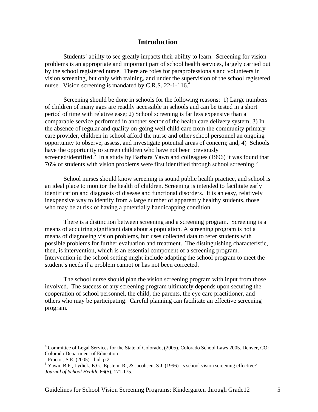## **Introduction**

 Students' ability to see greatly impacts their ability to learn. Screening for vision problems is an appropriate and important part of school health services, largely carried out by the school registered nurse. There are roles for paraprofessionals and volunteers in vision screening, but only with training, and under the supervision of the school registered nurse. Vision screening is mandated by C.R.S. 22-1-116.<sup>4</sup>

Screening should be done in schools for the following reasons: 1) Large numbers of children of many ages are readily accessible in schools and can be tested in a short period of time with relative ease; 2) School screening is far less expensive than a comparable service performed in another sector of the health care delivery system; 3) In the absence of regular and quality on-going well child care from the community primary care provider, children in school afford the nurse and other school personnel an ongoing opportunity to observe, assess, and investigate potential areas of concern; and, 4) Schools have the opportunity to screen children who have not been previously screened/identified.<sup>5</sup> In a study by Barbara Yawn and colleagues (1996) it was found that 76% of students with vision problems were first identified through school screening.6

 School nurses should know screening is sound public health practice, and school is an ideal place to monitor the health of children. Screening is intended to facilitate early identification and diagnosis of disease and functional disorders. It is an easy, relatively inexpensive way to identify from a large number of apparently healthy students, those who may be at risk of having a potentially handicapping condition.

 There is a distinction between screening and a screening program. Screening is a means of acquiring significant data about a population. A screening program is not a means of diagnosing vision problems, but uses collected data to refer students with possible problems for further evaluation and treatment. The distinguishing characteristic, then, is intervention, which is an essential component of a screening program. Intervention in the school setting might include adapting the school program to meet the student's needs if a problem cannot or has not been corrected.

 The school nurse should plan the vision screening program with input from those involved. The success of any screening program ultimately depends upon securing the cooperation of school personnel, the child, the parents, the eye care practitioner, and others who may be participating. Careful planning can facilitate an effective screening program.

<sup>&</sup>lt;sup>4</sup> Committee of Legal Services for the State of Colorado, (2005). Colorado School Laws 2005. Denver, CO: Colorado Department of Education

<sup>5</sup> Proctor, S.E. (2005). Ibid. p.2.

<sup>&</sup>lt;sup>6</sup> Yawn, B.P., Lydick, E.G., Epstein, R., & Jacobsen, S.J. (1996). Is school vision screening effective? *Journal of School Health,* 66(5), 171-175.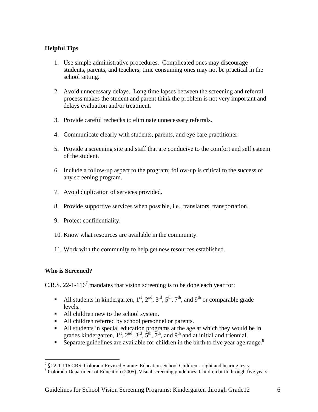## **Helpful Tips**

- 1. Use simple administrative procedures. Complicated ones may discourage students, parents, and teachers; time consuming ones may not be practical in the school setting.
- 2. Avoid unnecessary delays. Long time lapses between the screening and referral process makes the student and parent think the problem is not very important and delays evaluation and/or treatment.
- 3. Provide careful rechecks to eliminate unnecessary referrals.
- 4. Communicate clearly with students, parents, and eye care practitioner.
- 5. Provide a screening site and staff that are conducive to the comfort and self esteem of the student.
- 6. Include a follow-up aspect to the program; follow-up is critical to the success of any screening program.
- 7. Avoid duplication of services provided.
- 8. Provide supportive services when possible, i.e., translators, transportation.
- 9. Protect confidentiality.
- 10. Know what resources are available in the community.
- 11. Work with the community to help get new resources established.

#### **Who is Screened?**

 $\overline{a}$ 

C.R.S. 22-1-116<sup>7</sup> mandates that vision screening is to be done each year for:

- All students in kindergarten,  $1^{st}$ ,  $2^{nd}$ ,  $3^{rd}$ ,  $5^{th}$ ,  $7^{th}$ , and  $9^{th}$  or comparable grade levels.
- All children new to the school system.
- All children referred by school personnel or parents.
- All students in special education programs at the age at which they would be in grades kindergarten,  $1^{st}$ ,  $2^{nd}$ ,  $3^{rd}$ ,  $5^{th}$ ,  $7^{th}$ , and  $9^{th}$  and at initial and triennial.
- Separate guidelines are available for children in the birth to five year age range.<sup>8</sup>

 $7$  §22-1-116 CRS. Colorado Revised Statute: Education. School Children – sight and hearing tests.

Colorado Department of Education (2005). Visual screening guidelines: Children birth through five years.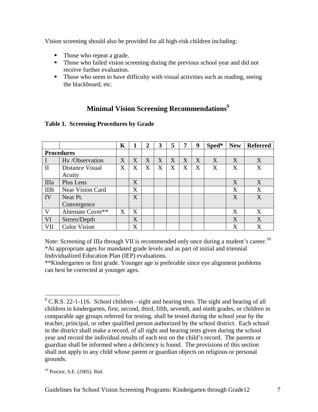Vision screening should also be provided for all high-risk children including:

- Those who repeat a grade.
- Those who failed vision screening during the previous school year and did not receive further evaluation.
- Those who seem to have difficulty with visual activities such as reading, seeing the blackboard, etc.

# **Minimal Vision Screening Recommendations**<sup>9</sup>

|                   |                     | K |   | 2 | 3              | 5 | 7                     | 9 | Sped* | <b>New</b> | <b>Referred</b> |
|-------------------|---------------------|---|---|---|----------------|---|-----------------------|---|-------|------------|-----------------|
| <b>Procedures</b> |                     |   |   |   |                |   |                       |   |       |            |                 |
| T                 | Hx /Observation     | X | X | X | X              | X | $\overline{\text{X}}$ | X | X     | X          | X               |
| $\rm II$          | Distance Visual     | X | X | X | $\overline{X}$ | X | X                     | X | X     | X          | X               |
|                   | Acuity              |   |   |   |                |   |                       |   |       |            |                 |
| IIIa              | Plus Lens           |   | X |   |                |   |                       |   |       | X          | X               |
| <b>IIIb</b>       | Near Vision Card    |   | X |   |                |   |                       |   |       | X          | X               |
| IV                | Near Pt.            |   | X |   |                |   |                       |   |       | X          | X               |
|                   | Convergence         |   |   |   |                |   |                       |   |       |            |                 |
| V                 | Alternate Cover**   | X | X |   |                |   |                       |   |       | X          | X               |
| <b>VI</b>         | Stereo/Depth        |   | X |   |                |   |                       |   |       | X          | X               |
| VII               | <b>Color Vision</b> |   | X |   |                |   |                       |   |       | X          | X               |

#### **Table 1. Screening Procedures by Grade**

Note: Screening of IIIa through VII is recommended only once during a student's career.<sup>10</sup> \*At appropriate ages for mandated grade levels and as part of initial and triennial Individualized Education Plan (IEP) evaluations.

\*\*Kindergarten or first grade. Younger age is preferable since eye alignment problems can best be corrected at younger ages.

 $\overline{a}$  $9^9$  C.R.S. 22-1-116. School children - sight and hearing tests. The sight and hearing of all children in kindergarten, first, second, third, fifth, seventh, and ninth grades, or children in comparable age groups referred for testing, shall be tested during the school year by the teacher, principal, or other qualified person authorized by the school district. Each school in the district shall make a record, of all sight and hearing tests given during the school year and record the individual results of each test on the child's record. The parents or guardian shall be informed when a deficiency is found. The provisions of this section shall not apply to any child whose parent or guardian objects on religious or personal grounds.

<sup>10</sup> Proctor, S.E. (2005). Ibid.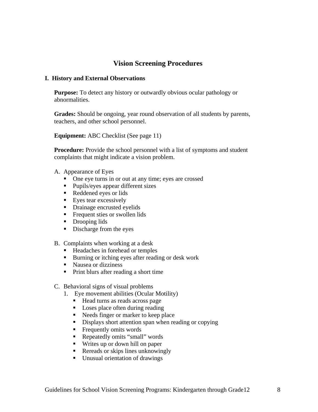# **Vision Screening Procedures**

#### **I. History and External Observations**

**Purpose:** To detect any history or outwardly obvious ocular pathology or abnormalities.

**Grades:** Should be ongoing, year round observation of all students by parents, teachers, and other school personnel.

**Equipment:** ABC Checklist (See page 11)

**Procedure:** Provide the school personnel with a list of symptoms and student complaints that might indicate a vision problem.

- A. Appearance of Eyes
	- One eye turns in or out at any time; eyes are crossed
	- Pupils/eyes appear different sizes
	- Reddened eyes or lids
	- **Eyes tear excessively**
	- Drainage encrusted eyelids
	- Frequent sties or swollen lids
	- Drooping lids
	- Discharge from the eyes
- B. Complaints when working at a desk
	- Headaches in forehead or temples
	- Burning or itching eyes after reading or desk work
	- Nausea or dizziness
	- Print blurs after reading a short time
- C. Behavioral signs of visual problems
	- 1. Eye movement abilities (Ocular Motility)
		- Head turns as reads across page
		- Loses place often during reading
		- Needs finger or marker to keep place
		- Displays short attention span when reading or copying
		- **Figure 1** Frequently omits words
		- Repeatedly omits "small" words
		- Writes up or down hill on paper
		- Rereads or skips lines unknowingly
		- Unusual orientation of drawings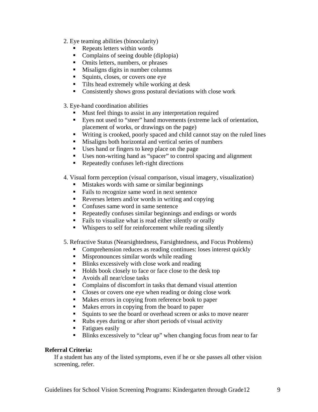- 2. Eye teaming abilities (binocularity)
	- **Repeats letters within words**
	- Complains of seeing double (diplopia)
	- Omits letters, numbers, or phrases
	- Misaligns digits in number columns
	- Squints, closes, or covers one eye
	- Tilts head extremely while working at desk
	- **Consistently shows gross postural deviations with close work**
- 3. Eye-hand coordination abilities
	- **Must feel things to assist in any interpretation required**
	- Eyes not used to "steer" hand movements (extreme lack of orientation, placement of works, or drawings on the page)
	- Writing is crooked, poorly spaced and child cannot stay on the ruled lines
	- Misaligns both horizontal and vertical series of numbers
	- Uses hand or fingers to keep place on the page
	- Uses non-writing hand as "spacer" to control spacing and alignment
	- Repeatedly confuses left-right directions
- 4. Visual form perception (visual comparison, visual imagery, visualization)
	- **Mistakes words with same or similar beginnings**
	- Fails to recognize same word in next sentence
	- Reverses letters and/or words in writing and copying
	- Confuses same word in same sentence
	- Repeatedly confuses similar beginnings and endings or words
	- Fails to visualize what is read either silently or orally
	- Whispers to self for reinforcement while reading silently
- 5. Refractive Status (Nearsightedness, Farsightedness, and Focus Problems)
	- Comprehension reduces as reading continues: loses interest quickly
	- **Mispronounces similar words while reading**
	- Blinks excessively with close work and reading
	- Holds book closely to face or face close to the desk top
	- Avoids all near/close tasks
	- Complains of discomfort in tasks that demand visual attention
	- Closes or covers one eye when reading or doing close work
	- Makes errors in copying from reference book to paper
	- Makes errors in copying from the board to paper
	- Squints to see the board or overhead screen or asks to move nearer
	- Rubs eyes during or after short periods of visual activity
	- **Fatigues easily**
	- Blinks excessively to "clear up" when changing focus from near to far

#### **Referral Criteria:**

If a student has any of the listed symptoms, even if he or she passes all other vision screening, refer.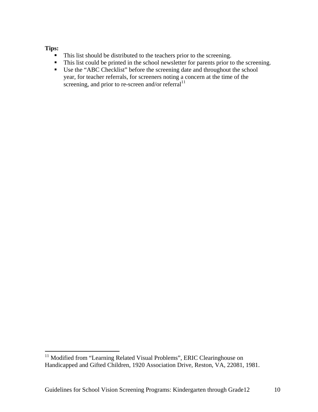#### **Tips:**

- This list should be distributed to the teachers prior to the screening.
- This list could be printed in the school newsletter for parents prior to the screening.
- Use the "ABC Checklist" before the screening date and throughout the school year, for teacher referrals, for screeners noting a concern at the time of the screening, and prior to re-screen and/or referral $11$

 $11$  Modified from "Learning Related Visual Problems", ERIC Clearinghouse on Handicapped and Gifted Children, 1920 Association Drive, Reston, VA, 22081, 1981.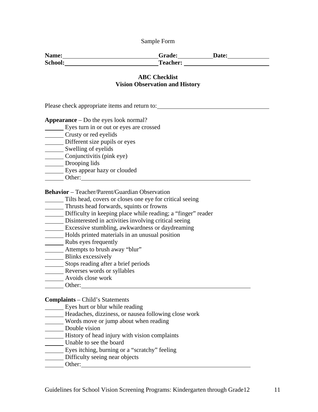| Name:   | <b>Grade:</b>   | <b>Date:</b> |
|---------|-----------------|--------------|
| School: | <b>Teacher:</b> |              |

#### **ABC Checklist Vision Observation and History**

Please check appropriate items and return to:

**Appearance** – Do the eyes look normal?

Eyes turn in or out or eyes are crossed

Crusty or red eyelids

Different size pupils or eyes

Swelling of eyelids

Conjunctivitis (pink eye)

Drooping lids

- Eyes appear hazy or clouded
- Other:

**Behavior** – Teacher/Parent/Guardian Observation

Tilts head, covers or closes one eye for critical seeing

Thrusts head forwards, squints or frowns

Difficulty in keeping place while reading; a "finger" reader

Disinterested in activities involving critical seeing

- Excessive stumbling, awkwardness or daydreaming
- Holds printed materials in an unusual position
- **Rubs** eyes frequently
- **Attempts to brush away "blur"**
- **Blinks excessively**
- Stops reading after a brief periods
- Reverses words or syllables
- Avoids close work
- Other: Other:

#### **Complaints** – Child's Statements

- **Eyes hurt or blur while reading**
- Headaches, dizziness, or nausea following close work
- Words move or jump about when reading
- Double vision
- History of head injury with vision complaints
- Unable to see the board
- Eyes itching, burning or a "scratchy" feeling
- Difficulty seeing near objects
- Other: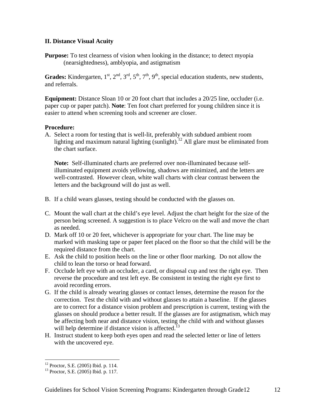#### **II. Distance Visual Acuity**

**Purpose:** To test clearness of vision when looking in the distance; to detect myopia (nearsightedness), amblyopia, and astigmatism

**Grades:** Kindergarten,  $1^{st}$ ,  $2^{nd}$ ,  $3^{rd}$ ,  $5^{th}$ ,  $7^{th}$ ,  $9^{th}$ , special education students, new students, and referrals.

**Equipment:** Distance Sloan 10 or 20 foot chart that includes a 20/25 line, occluder (i.e. paper cup or paper patch). **Note**: Ten foot chart preferred for young children since it is easier to attend when screening tools and screener are closer.

#### **Procedure:**

A. Select a room for testing that is well-lit, preferably with subdued ambient room lighting and maximum natural lighting (sunlight).<sup>12</sup> All glare must be eliminated from the chart surface.

**Note:** Self-illuminated charts are preferred over non-illuminated because selfilluminated equipment avoids yellowing, shadows are minimized, and the letters are well-contrasted. However clean, white wall charts with clear contrast between the letters and the background will do just as well.

- B. If a child wears glasses, testing should be conducted with the glasses on.
- C. Mount the wall chart at the child's eye level. Adjust the chart height for the size of the person being screened. A suggestion is to place Velcro on the wall and move the chart as needed.
- D. Mark off 10 or 20 feet, whichever is appropriate for your chart. The line may be marked with masking tape or paper feet placed on the floor so that the child will be the required distance from the chart.
- E. Ask the child to position heels on the line or other floor marking. Do not allow the child to lean the torso or head forward.
- F. Occlude left eye with an occluder, a card, or disposal cup and test the right eye. Then reverse the procedure and test left eye. Be consistent in testing the right eye first to avoid recording errors.
- G. If the child is already wearing glasses or contact lenses, determine the reason for the correction. Test the child with and without glasses to attain a baseline. If the glasses are to correct for a distance vision problem and prescription is current, testing with the glasses on should produce a better result. If the glasses are for astigmatism, which may be affecting both near and distance vision, testing the child with and without glasses will help determine if distance vision is affected.<sup>13</sup>
- H. Instruct student to keep both eyes open and read the selected letter or line of letters with the uncovered eye.

<sup>12</sup> Proctor, S.E. (2005) Ibid. p. 114.

<sup>13</sup> Proctor, S.E. (2005) Ibid. p. 117.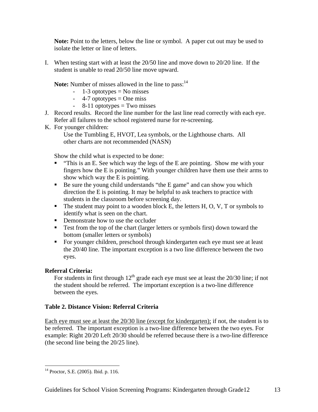**Note:** Point to the letters, below the line or symbol. A paper cut out may be used to isolate the letter or line of letters.

I. When testing start with at least the 20/50 line and move down to 20/20 line. If the student is unable to read 20/50 line move upward.

**Note:** Number of misses allowed in the line to pass:<sup>14</sup>

- $-1-3$  optotypes = No misses
- $-4$ -7 optotypes = One miss
- $-$  8-11 optotypes = Two misses
- J. Record results. Record the line number for the last line read correctly with each eye. Refer all failures to the school registered nurse for re-screening.
- K. For younger children:

Use the Tumbling E, HVOT, Lea symbols, or the Lighthouse charts. All other charts are not recommended (NASN)

Show the child what is expected to be done:

- $\blacksquare$  "This is an E. See which way the legs of the E are pointing. Show me with your fingers how the E is pointing." With younger children have them use their arms to show which way the E is pointing.
- Be sure the young child understands "the E game" and can show you which direction the E is pointing. It may be helpful to ask teachers to practice with students in the classroom before screening day.
- $\blacksquare$  The student may point to a wooden block E, the letters H, O, V, T or symbols to identify what is seen on the chart.
- Demonstrate how to use the occluder
- Test from the top of the chart (larger letters or symbols first) down toward the bottom (smaller letters or symbols)
- For younger children, preschool through kindergarten each eye must see at least the 20/40 line. The important exception is a two line difference between the two eyes.

#### **Referral Criteria:**

For students in first through  $12<sup>th</sup>$  grade each eye must see at least the 20/30 line; if not the student should be referred. The important exception is a two-line difference between the eyes.

#### **Table 2. Distance Vision: Referral Criteria**

Each eye must see at least the 20/30 line (except for kindergarten); if not, the student is to be referred. The important exception is a two-line difference between the two eyes. For example: Right 20/20 Left 20/30 should be referred because there is a two-line difference (the second line being the 20/25 line).

 $\overline{a}$ 14 Proctor, S.E. (2005). Ibid. p. 116.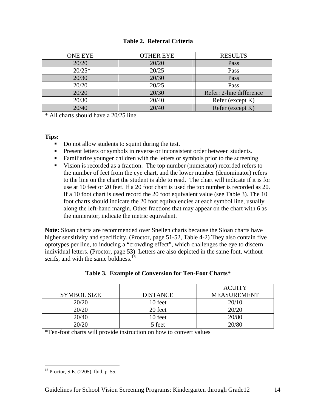| <b>ONE EYE</b> | <b>OTHER EYE</b> | <b>RESULTS</b>           |
|----------------|------------------|--------------------------|
| 20/20          | 20/20            | Pass                     |
| $20/25*$       | 20/25            | Pass                     |
| 20/30          | 20/30            | Pass                     |
| 20/20          | 20/25            | Pass                     |
| 20/20          | 20/30            | Refer: 2-line difference |
| 20/30          | 20/40            | Refer (except K)         |
| 20/40          | 20/40            | Refer (except K)         |

\* All charts should have a 20/25 line.

#### **Tips:**

- Do not allow students to squint during the test.
- Present letters or symbols in reverse or inconsistent order between students.
- Familiarize younger children with the letters or symbols prior to the screening
- Vision is recorded as a fraction. The top number (numerator) recorded refers to the number of feet from the eye chart, and the lower number (denominator) refers to the line on the chart the student is able to read. The chart will indicate if it is for use at 10 feet or 20 feet. If a 20 foot chart is used the top number is recorded as 20. If a 10 foot chart is used record the 20 foot equivalent value (see Table 3). The 10 foot charts should indicate the 20 foot equivalencies at each symbol line, usually along the left-hand margin. Other fractions that may appear on the chart with 6 as the numerator, indicate the metric equivalent.

**Note:** Sloan charts are recommended over Snellen charts because the Sloan charts have higher sensitivity and specificity. (Proctor, page 51-52, Table 4-2) They also contain five optotypes per line, to inducing a "crowding effect", which challenges the eye to discern individual letters. (Proctor, page 53) Letters are also depicted in the same font, without serifs, and with the same boldness.<sup>15</sup>

|                    |                 | <b>ACUITY</b>      |
|--------------------|-----------------|--------------------|
| <b>SYMBOL SIZE</b> | <b>DISTANCE</b> | <b>MEASUREMENT</b> |
| 20/20              | 10 feet         | 20/10              |
| 20/20              | 20 feet         | 20/20              |
| 20/40              | 10 feet         | 20/80              |
| 20/20              | 5 feet          | 20/80              |

#### **Table 3. Example of Conversion for Ten-Foot Charts\***

\*Ten-foot charts will provide instruction on how to convert values

 $\overline{a}$ 15 Proctor, S.E. (2205). Ibid. p. 55.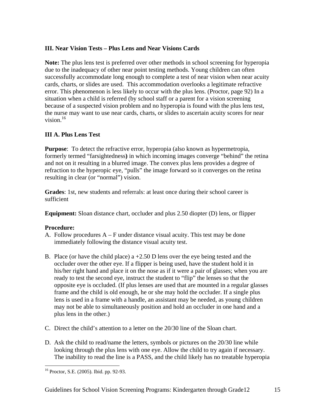## **III. Near Vision Tests – Plus Lens and Near Visions Cards**

**Note:** The plus lens test is preferred over other methods in school screening for hyperopia due to the inadequacy of other near point testing methods. Young children can often successfully accommodate long enough to complete a test of near vision when near acuity cards, charts, or slides are used. This accommodation overlooks a legitimate refractive error. This phenomenon is less likely to occur with the plus lens. (Proctor, page 92) In a situation when a child is referred (by school staff or a parent for a vision screening because of a suspected vision problem and no hyperopia is found with the plus lens test, the nurse may want to use near cards, charts, or slides to ascertain acuity scores for near vision  $16$ 

## **III A. Plus Lens Test**

**Purpose**: To detect the refractive error, hyperopia (also known as hypermetropia, formerly termed "farsightedness**)** in which incoming images converge "behind" the retina and not on it resulting in a blurred image. The convex plus lens provides a degree of refraction to the hyperopic eye, "pulls" the image forward so it converges on the retina resulting in clear (or "normal") vision.

**Grades**: 1st, new students and referrals: at least once during their school career is sufficient

**Equipment:** Sloan distance chart, occluder and plus 2.50 diopter (D) lens, or flipper

#### **Procedure:**

- A. Follow procedures  $A F$  under distance visual acuity. This test may be done immediately following the distance visual acuity test.
- B. Place (or have the child place) a  $+2.50$  D lens over the eye being tested and the occluder over the other eye. If a flipper is being used, have the student hold it in his/her right hand and place it on the nose as if it were a pair of glasses; when you are ready to test the second eye, instruct the student to "flip" the lenses so that the opposite eye is occluded. (If plus lenses are used that are mounted in a regular glasses frame and the child is old enough, he or she may hold the occluder. If a single plus lens is used in a frame with a handle, an assistant may be needed, as young children may not be able to simultaneously position and hold an occluder in one hand and a plus lens in the other.)
- C. Direct the child's attention to a letter on the 20/30 line of the Sloan chart.
- D. Ask the child to read/name the letters, symbols or pictures on the 20/30 line while looking through the plus lens with one eye. Allow the child to try again if necessary. The inability to read the line is a PASS, and the child likely has no treatable hyperopia

 $\overline{a}$ 16 Proctor, S.E. (2005). Ibid. pp. 92-93.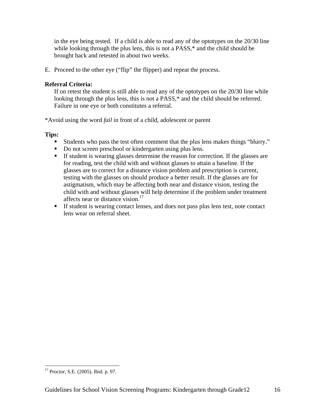in the eye being tested. If a child is able to read any of the optotypes on the 20/30 line while looking through the plus lens, this is not a PASS,<sup>\*</sup> and the child should be brought back and retested in about two weeks.

E. Proceed to the other eye ("flip" the flipper) and repeat the process.

#### **Referral Criteria:**

If on retest the student is still able to read any of the optotypes on the 20/30 line while looking through the plus lens, this is not a PASS,\* and the child should be referred. Failure in one eye or both constitutes a referral.

\*Avoid using the word *fail* in front of a child, adolescent or parent

**Tips:**

- Students who pass the test often comment that the plus lens makes things "blurry."
- Do not screen preschool or kindergarten using plus lens.
- If student is wearing glasses determine the reason for correction. If the glasses are for reading, test the child with and without glasses to attain a baseline. If the glasses are to correct for a distance vision problem and prescription is current, testing with the glasses on should produce a better result. If the glasses are for astigmatism, which may be affecting both near and distance vision, testing the child with and without glasses will help determine if the problem under treatment affects near or distance vision.<sup>17</sup>
- If student is wearing contact lenses, and does not pass plus lens test, note contact lens wear on referral sheet.

<sup>17</sup> Proctor, S.E. (2005). Ibid. p. 97.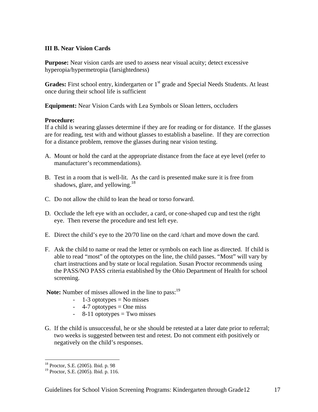#### **III B. Near Vision Cards**

**Purpose:** Near vision cards are used to assess near visual acuity; detect excessive hyperopia/hypermetropia (farsightedness)

Grades: First school entry, kindergarten or 1<sup>st</sup> grade and Special Needs Students. At least once during their school life is sufficient

**Equipment:** Near Vision Cards with Lea Symbols or Sloan letters, occluders

#### **Procedure:**

If a child is wearing glasses determine if they are for reading or for distance. If the glasses are for reading, test with and without glasses to establish a baseline. If they are correction for a distance problem, remove the glasses during near vision testing.

- A. Mount or hold the card at the appropriate distance from the face at eye level (refer to manufacturer's recommendations).
- B. Test in a room that is well-lit. As the card is presented make sure it is free from shadows, glare, and yellowing.<sup>18</sup>
- C. Do not allow the child to lean the head or torso forward.
- D. Occlude the left eye with an occluder, a card, or cone-shaped cup and test the right eye. Then reverse the procedure and test left eye.
- E. Direct the child's eye to the 20/70 line on the card /chart and move down the card.
- F. Ask the child to name or read the letter or symbols on each line as directed. If child is able to read "most" of the optotypes on the line, the child passes. "Most" will vary by chart instructions and by state or local regulation. Susan Proctor recommends using the PASS/NO PASS criteria established by the Ohio Department of Health for school screening.

**Note:** Number of misses allowed in the line to pass:<sup>19</sup>

- $-1-3$  optotypes  $=$  No misses
- $-4$ -7 optotypes = One miss
- $-$  8-11 optotypes = Two misses
- G. If the child is unsuccessful, he or she should be retested at a later date prior to referral; two weeks is suggested between test and retest. Do not comment eith positively or negatively on the child's responses.

<sup>18</sup> Proctor, S.E. (2005). Ibid. p. 98

<sup>19</sup> Proctor, S.E. (2005). Ibid. p. 116.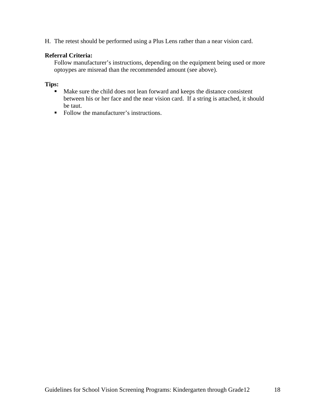H. The retest should be performed using a Plus Lens rather than a near vision card.

#### **Referral Criteria:**

Follow manufacturer's instructions, depending on the equipment being used or more optoypes are misread than the recommended amount (see above).

#### **Tips:**

- Make sure the child does not lean forward and keeps the distance consistent between his or her face and the near vision card. If a string is attached, it should be taut.
- Follow the manufacturer's instructions.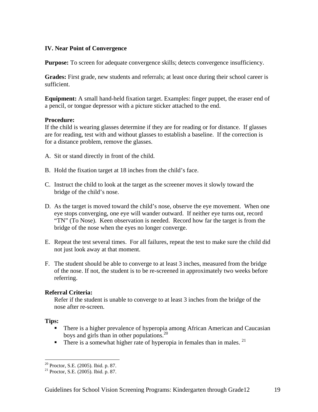#### **IV. Near Point of Convergence**

**Purpose:** To screen for adequate convergence skills; detects convergence insufficiency.

**Grades:** First grade, new students and referrals; at least once during their school career is sufficient.

**Equipment:** A small hand-held fixation target. Examples: finger puppet, the eraser end of a pencil, or tongue depressor with a picture sticker attached to the end.

#### **Procedure:**

If the child is wearing glasses determine if they are for reading or for distance. If glasses are for reading, test with and without glasses to establish a baseline. If the correction is for a distance problem, remove the glasses.

- A. Sit or stand directly in front of the child.
- B. Hold the fixation target at 18 inches from the child's face.
- C. Instruct the child to look at the target as the screener moves it slowly toward the bridge of the child's nose.
- D. As the target is moved toward the child's nose, observe the eye movement. When one eye stops converging, one eye will wander outward. If neither eye turns out, record "TN" (To Nose). Keen observation is needed. Record how far the target is from the bridge of the nose when the eyes no longer converge.
- E. Repeat the test several times. For all failures, repeat the test to make sure the child did not just look away at that moment.
- F. The student should be able to converge to at least 3 inches, measured from the bridge of the nose. If not, the student is to be re-screened in approximately two weeks before referring.

#### **Referral Criteria:**

Refer if the student is unable to converge to at least 3 inches from the bridge of the nose after re-screen.

#### **Tips:**

- **There is a higher prevalence of hyperopia among African American and Caucasian** boys and girls than in other populations.<sup>20</sup>
- There is a somewhat higher rate of hyperopia in females than in males.  $^{21}$

 $20$  Proctor, S.E. (2005). Ibid. p. 87.

 $21$  Proctor, S.E. (2005). Ibid. p. 87.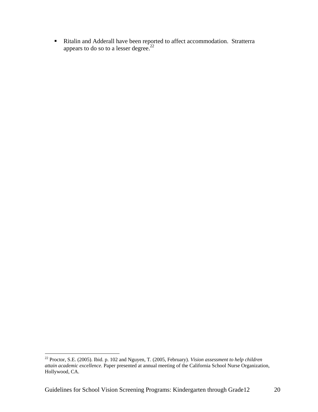Ritalin and Adderall have been reported to affect accommodation. Stratterra appears to do so to a lesser degree. $22$ 

<sup>22</sup> Proctor, S.E. (2005). Ibid. p. 102 and Nguyen, T. (2005, February). *Vision assessment to help children attain academic excellence.* Paper presented at annual meeting of the California School Nurse Organization, Hollywood, CA.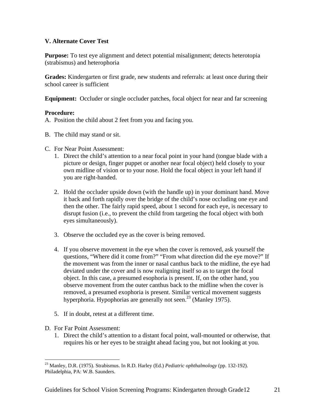#### **V. Alternate Cover Test**

**Purpose:** To test eye alignment and detect potential misalignment; detects heterotopia (strabismus) and heterophoria

**Grades:** Kindergarten or first grade, new students and referrals: at least once during their school career is sufficient

**Equipment:** Occluder or single occluder patches, focal object for near and far screening

#### **Procedure:**

- A. Position the child about 2 feet from you and facing you.
- B. The child may stand or sit.
- C. For Near Point Assessment:
	- 1. Direct the child's attention to a near focal point in your hand (tongue blade with a picture or design, finger puppet or another near focal object) held closely to your own midline of vision or to your nose. Hold the focal object in your left hand if you are right-handed.
	- 2. Hold the occluder upside down (with the handle up) in your dominant hand. Move it back and forth rapidly over the bridge of the child's nose occluding one eye and then the other. The fairly rapid speed, about 1 second for each eye, is necessary to disrupt fusion (i.e., to prevent the child from targeting the focal object with both eyes simultaneously).
	- 3. Observe the occluded eye as the cover is being removed.
	- 4. If you observe movement in the eye when the cover is removed, ask yourself the questions, "Where did it come from?" "From what direction did the eye move?" If the movement was from the inner or nasal canthus back to the midline, the eye had deviated under the cover and is now realigning itself so as to target the focal object. In this case, a presumed esophoria is present. If, on the other hand, you observe movement from the outer canthus back to the midline when the cover is removed, a presumed exophoria is present. Similar vertical movement suggests hyperphoria. Hypophorias are generally not seen.<sup>23</sup> (Manley 1975).
	- 5. If in doubt, retest at a different time.
- D. For Far Point Assessment:

 $\overline{a}$ 

1. Direct the child's attention to a distant focal point, wall-mounted or otherwise, that requires his or her eyes to be straight ahead facing you, but not looking at you.

<sup>23</sup> Manley, D.R. (1975). Strabismus. In R.D. Harley (Ed.) *Pediatric ophthalmology* (pp. 132-192). Philadelphia, PA: W.B. Saunders.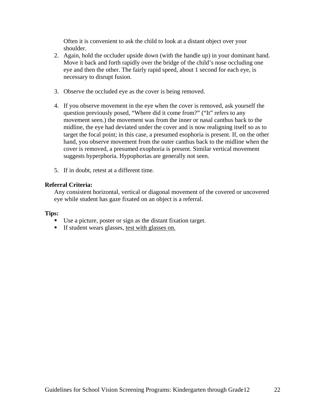Often it is convenient to ask the child to look at a distant object over your shoulder.

- 2. Again, hold the occluder upside down (with the handle up) in your dominant hand. Move it back and forth rapidly over the bridge of the child's nose occluding one eye and then the other. The fairly rapid speed, about 1 second for each eye, is necessary to disrupt fusion.
- 3. Observe the occluded eye as the cover is being removed.
- 4. If you observe movement in the eye when the cover is removed, ask yourself the question previously posed, "Where did it come from?" ("It" refers to any movement seen.) the movement was from the inner or nasal canthus back to the midline, the eye had deviated under the cover and is now realigning itself so as to target the focal point; in this case, a presumed esophoria is present. If, on the other hand, you observe movement from the outer canthus back to the midline when the cover is removed, a presumed exophoria is present. Similar vertical movement suggests hyperphoria. Hypophorias are generally not seen.
- 5. If in doubt, retest at a different time.

#### **Referral Criteria:**

Any consistent horizontal, vertical or diagonal movement of the covered or uncovered eye while student has gaze fixated on an object is a referral.

#### **Tips:**

- Use a picture, poster or sign as the distant fixation target.
- If student wears glasses, test with glasses on.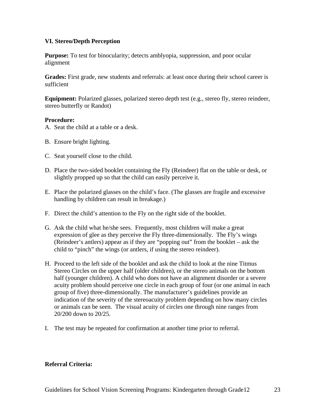#### **VI. Stereo/Depth Perception**

**Purpose:** To test for binocularity; detects amblyopia, suppression, and poor ocular alignment

Grades: First grade, new students and referrals: at least once during their school career is sufficient

**Equipment:** Polarized glasses, polarized stereo depth test (e.g., stereo fly, stereo reindeer, stereo butterfly or Randot)

#### **Procedure:**

- A. Seat the child at a table or a desk.
- B. Ensure bright lighting.
- C. Seat yourself close to the child.
- D. Place the two-sided booklet containing the Fly (Reindeer) flat on the table or desk, or slightly propped up so that the child can easily perceive it.
- E. Place the polarized glasses on the child's face. (The glasses are fragile and excessive handling by children can result in breakage.)
- F. Direct the child's attention to the Fly on the right side of the booklet.
- G. Ask the child what he/she sees. Frequently, most children will make a great expression of glee as they perceive the Fly three-dimensionally. The Fly's wings (Reindeer's antlers) appear as if they are "popping out" from the booklet – ask the child to "pinch" the wings (or antlers, if using the stereo reindeer).
- H. Proceed to the left side of the booklet and ask the child to look at the nine Titmus Stereo Circles on the upper half (older children), or the stereo animals on the bottom half (younger children). A child who does not have an alignment disorder or a severe acuity problem should perceive one circle in each group of four (or one animal in each group of five) three-dimensionally. The manufacturer's guidelines provide an indication of the severity of the stereoacuity problem depending on how many circles or animals can be seen. The visual acuity of circles one through nine ranges from 20/200 down to 20/25.
- I. The test may be repeated for confirmation at another time prior to referral.

#### **Referral Criteria:**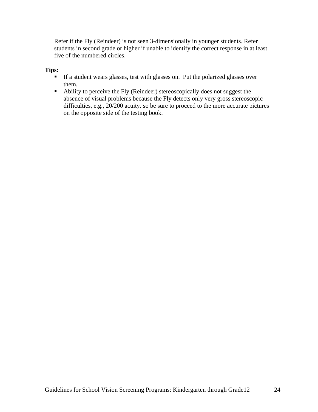Refer if the Fly (Reindeer) is not seen 3-dimensionally in younger students. Refer students in second grade or higher if unable to identify the correct response in at least five of the numbered circles.

#### **Tips:**

- If a student wears glasses, test with glasses on. Put the polarized glasses over them.
- Ability to perceive the Fly (Reindeer) stereoscopically does not suggest the absence of visual problems because the Fly detects only very gross stereoscopic difficulties, e.g., 20/200 acuity. so be sure to proceed to the more accurate pictures on the opposite side of the testing book.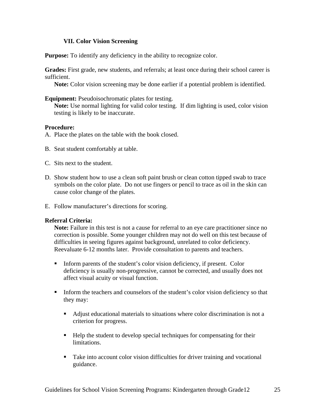#### **VII. Color Vision Screening**

**Purpose:** To identify any deficiency in the ability to recognize color.

**Grades:** First grade, new students, and referrals; at least once during their school career is sufficient.

**Note:** Color vision screening may be done earlier if a potential problem is identified.

#### **Equipment:** Pseudoisochromatic plates for testing.

**Note:** Use normal lighting for valid color testing. If dim lighting is used, color vision testing is likely to be inaccurate.

#### **Procedure:**

- A. Place the plates on the table with the book closed.
- B. Seat student comfortably at table.
- C. Sits next to the student.
- D. Show student how to use a clean soft paint brush or clean cotton tipped swab to trace symbols on the color plate. Do not use fingers or pencil to trace as oil in the skin can cause color change of the plates.
- E. Follow manufacturer's directions for scoring.

#### **Referral Criteria:**

**Note:** Failure in this test is not a cause for referral to an eye care practitioner since no correction is possible. Some younger children may not do well on this test because of difficulties in seeing figures against background, unrelated to color deficiency. Reevaluate 6-12 months later. Provide consultation to parents and teachers.

- Inform parents of the student's color vision deficiency, if present. Color deficiency is usually non-progressive, cannot be corrected, and usually does not affect visual acuity or visual function.
- Inform the teachers and counselors of the student's color vision deficiency so that they may:
	- Adjust educational materials to situations where color discrimination is not a criterion for progress.
	- Help the student to develop special techniques for compensating for their limitations.
	- **Take into account color vision difficulties for driver training and vocational** guidance.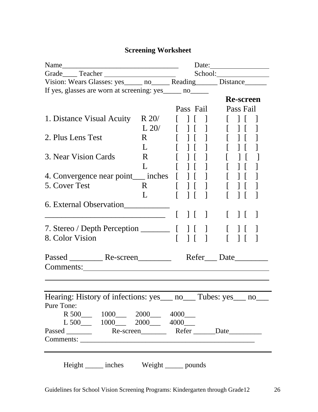# **Screening Worksheet**

|                                                                                |              |               |                          | Date:      |                  |                          |
|--------------------------------------------------------------------------------|--------------|---------------|--------------------------|------------|------------------|--------------------------|
|                                                                                |              |               |                          |            |                  |                          |
| Vision: Wears Glasses: yes ______ no _______ Reading _______ Distance ________ |              |               |                          |            |                  |                          |
| If yes, glasses are worn at screening: yes_____ no_____                        |              |               |                          |            |                  |                          |
|                                                                                |              |               |                          |            | <b>Re-screen</b> |                          |
|                                                                                |              |               | Pass Fail                |            | Pass Fail        |                          |
| 1. Distance Visual Acuity                                                      | $R$ 20/      | $\perp$       |                          |            |                  |                          |
|                                                                                | L 20/        | $\Box$        |                          |            |                  |                          |
| 2. Plus Lens Test                                                              | R.           |               |                          |            |                  |                          |
|                                                                                | L            |               |                          |            |                  |                          |
| 3. Near Vision Cards                                                           | R.           |               |                          |            |                  |                          |
|                                                                                | L            |               |                          |            |                  |                          |
| 4. Convergence near point___ inches                                            |              |               |                          |            |                  |                          |
| 5. Cover Test                                                                  | $\mathbf{R}$ | $\frac{1}{2}$ | $\Box$                   |            |                  |                          |
|                                                                                | L            | $\Box$        | $\overline{\phantom{a}}$ |            |                  |                          |
| 6. External Observation____________                                            |              |               |                          |            |                  |                          |
|                                                                                |              |               | $\Box$                   |            | $\perp$          | $\overline{\phantom{a}}$ |
|                                                                                |              |               |                          |            |                  |                          |
|                                                                                |              |               |                          |            |                  |                          |
| 8. Color Vision                                                                |              |               | $\mathbf{1}$             |            |                  |                          |
|                                                                                |              |               |                          |            |                  |                          |
|                                                                                |              |               |                          | Refer Date |                  |                          |
| Comments:                                                                      |              |               |                          |            |                  |                          |
|                                                                                |              |               |                          |            |                  |                          |
|                                                                                |              |               |                          |            |                  |                          |
| Hearing: History of infections: yes ____ no _____ Tubes: yes ____ no ____      |              |               |                          |            |                  |                          |
| Pure Tone:                                                                     |              |               |                          |            |                  |                          |
| R 500 1000 2000 4000                                                           |              |               |                          |            |                  |                          |
| $L\,500$ 1000 2000 4000                                                        |              |               |                          |            |                  |                          |
|                                                                                |              |               |                          |            |                  |                          |
|                                                                                |              |               |                          |            |                  |                          |
|                                                                                |              |               |                          |            |                  |                          |
|                                                                                |              |               |                          |            |                  |                          |
| Height ______ inches Weight ______ pounds                                      |              |               |                          |            |                  |                          |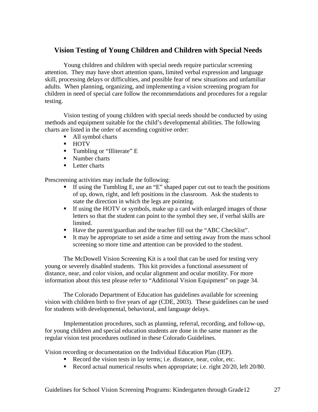# **Vision Testing of Young Children and Children with Special Needs**

 Young children and children with special needs require particular screening attention. They may have short attention spans, limited verbal expression and language skill, processing delays or difficulties, and possible fear of new situations and unfamiliar adults. When planning, organizing, and implementing a vision screening program for children in need of special care follow the recommendations and procedures for a regular testing.

 Vision testing of young children with special needs should be conducted by using methods and equipment suitable for the child's developmental abilities. The following charts are listed in the order of ascending cognitive order:

- All symbol charts
- **HOTV**
- **Tumbling or "Illiterate" E**
- Number charts
- **Letter charts**

Prescreening activities may include the following:

- If using the Tumbling E, use an "E" shaped paper cut out to teach the positions of up, down, right, and left positions in the classroom. Ask the students to state the direction in which the legs are pointing.
- If using the HOTV or symbols, make up a card with enlarged images of those letters so that the student can point to the symbol they see, if verbal skills are limited.
- Have the parent/guardian and the teacher fill out the "ABC Checklist".
- It may be appropriate to set aside a time and setting away from the mass school screening so more time and attention can be provided to the student.

 The McDowell Vision Screening Kit is a tool that can be used for testing very young or severely disabled students. This kit provides a functional assessment of distance, near, and color vision, and ocular alignment and ocular motility. For more information about this test please refer to "Additional Vision Equipment" on page 34.

 The Colorado Department of Education has guidelines available for screening vision with children birth to five years of age (CDE, 2003). These guidelines can be used for students with developmental, behavioral, and language delays.

 Implementation procedures, such as planning, referral, recording, and follow-up, for young children and special education students are done in the same manner as the regular vision test procedures outlined in these Colorado Guidelines.

Vision recording or documentation on the Individual Education Plan (IEP).

- Record the vision tests in lay terms; i.e. distance, near, color, etc.
- Record actual numerical results when appropriate; i.e. right 20/20, left 20/80.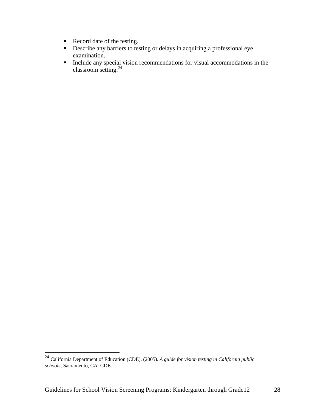- Record date of the testing.
- Describe any barriers to testing or delays in acquiring a professional eye examination.
- Include any special vision recommendations for visual accommodations in the classroom setting.24

<sup>24</sup> California Department of Education (CDE). (2005). *A guide for vision testing in California public schools*; Sacramento, CA: CDE.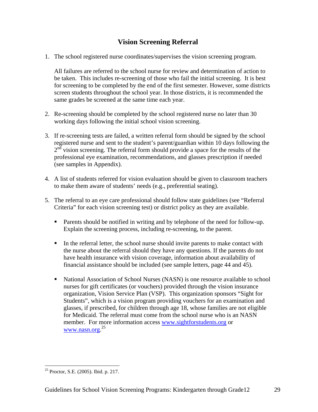# **Vision Screening Referral**

1. The school registered nurse coordinates/supervises the vision screening program.

All failures are referred to the school nurse for review and determination of action to be taken. This includes re-screening of those who fail the initial screening. It is best for screening to be completed by the end of the first semester. However, some districts screen students throughout the school year. In those districts, it is recommended the same grades be screened at the same time each year.

- 2. Re-screening should be completed by the school registered nurse no later than 30 working days following the initial school vision screening.
- 3. If re-screening tests are failed, a written referral form should be signed by the school registered nurse and sent to the student's parent/guardian within 10 days following the  $2<sup>nd</sup>$  vision screening. The referral form should provide a space for the results of the professional eye examination, recommendations, and glasses prescription if needed (see samples in Appendix).
- 4. A list of students referred for vision evaluation should be given to classroom teachers to make them aware of students' needs (e.g., preferential seating).
- 5. The referral to an eye care professional should follow state guidelines (see "Referral Criteria" for each vision screening test) or district policy as they are available.
	- Parents should be notified in writing and by telephone of the need for follow-up. Explain the screening process, including re-screening, to the parent.
	- In the referral letter, the school nurse should invite parents to make contact with the nurse about the referral should they have any questions. If the parents do not have health insurance with vision coverage, information about availability of financial assistance should be included (see sample letters, page 44 and 45).
	- National Association of School Nurses (NASN) is one resource available to school nurses for gift certificates (or vouchers) provided through the vision insurance organization, Vision Service Plan (VSP). This organization sponsors "Sight for Students", which is a vision program providing vouchers for an examination and glasses, if prescribed, for children through age 18, whose families are not eligible for Medicaid. The referral must come from the school nurse who is an NASN member. For more information access www.sightforstudents.org or www.nasn.org. 25

 $\overline{a}$ <sup>25</sup> Proctor, S.E. (2005). Ibid. p. 217.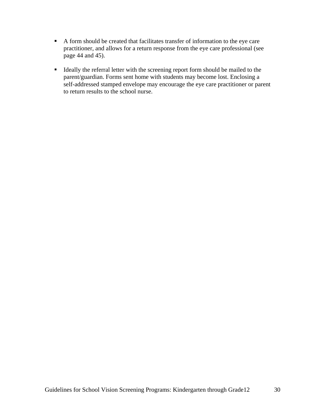- A form should be created that facilitates transfer of information to the eye care practitioner, and allows for a return response from the eye care professional (see page 44 and 45).
- Ideally the referral letter with the screening report form should be mailed to the parent/guardian. Forms sent home with students may become lost. Enclosing a self-addressed stamped envelope may encourage the eye care practitioner or parent to return results to the school nurse.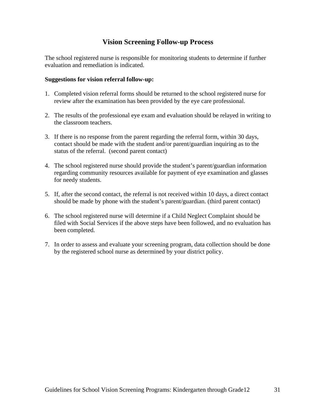# **Vision Screening Follow-up Process**

The school registered nurse is responsible for monitoring students to determine if further evaluation and remediation is indicated.

#### **Suggestions for vision referral follow-up:**

- 1. Completed vision referral forms should be returned to the school registered nurse for review after the examination has been provided by the eye care professional.
- 2. The results of the professional eye exam and evaluation should be relayed in writing to the classroom teachers.
- 3. If there is no response from the parent regarding the referral form, within 30 days, contact should be made with the student and/or parent/guardian inquiring as to the status of the referral. (second parent contact)
- 4. The school registered nurse should provide the student's parent/guardian information regarding community resources available for payment of eye examination and glasses for needy students.
- 5. If, after the second contact, the referral is not received within 10 days, a direct contact should be made by phone with the student's parent/guardian. (third parent contact)
- 6. The school registered nurse will determine if a Child Neglect Complaint should be filed with Social Services if the above steps have been followed, and no evaluation has been completed.
- 7. In order to assess and evaluate your screening program, data collection should be done by the registered school nurse as determined by your district policy.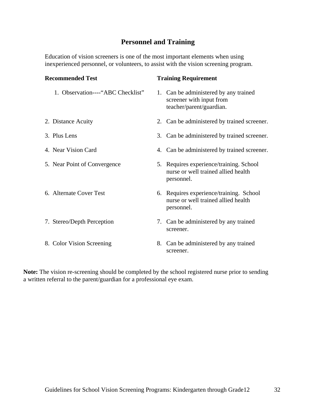# **Personnel and Training**

Education of vision screeners is one of the most important elements when using inexperienced personnel, or volunteers, to assist with the vision screening program.

| <b>Recommended Test</b>           | <b>Training Requirement</b>                                                                   |
|-----------------------------------|-----------------------------------------------------------------------------------------------|
| 1. Observation----"ABC Checklist" | 1. Can be administered by any trained<br>screener with input from<br>teacher/parent/guardian. |
| 2. Distance Acuity                | 2. Can be administered by trained screener.                                                   |
| 3. Plus Lens                      | 3. Can be administered by trained screener.                                                   |
| 4. Near Vision Card               | 4. Can be administered by trained screener.                                                   |
| 5. Near Point of Convergence      | 5. Requires experience/training. School<br>nurse or well trained allied health<br>personnel.  |
| 6. Alternate Cover Test           | 6. Requires experience/training. School<br>nurse or well trained allied health<br>personnel.  |
| 7. Stereo/Depth Perception        | 7. Can be administered by any trained<br>screener.                                            |
| 8. Color Vision Screening         | 8. Can be administered by any trained<br>screener.                                            |

**Note:** The vision re-screening should be completed by the school registered nurse prior to sending a written referral to the parent/guardian for a professional eye exam.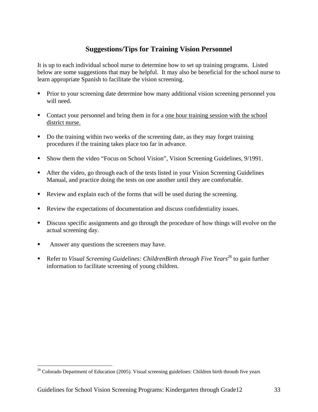# **Suggestions/Tips for Training Vision Personnel**

It is up to each individual school nurse to determine how to set up training programs. Listed below are some suggestions that may be helpful. It may also be beneficial for the school nurse to learn appropriate Spanish to facilitate the vision screening.

- **Prior to your screening date determine how many additional vision screening personnel you** will need.
- Contact your personnel and bring them in for a one hour training session with the school district nurse.
- Do the training within two weeks of the screening date, as they may forget training procedures if the training takes place too far in advance.
- Show them the video "Focus on School Vision", Vision Screening Guidelines, 9/1991.
- After the video, go through each of the tests listed in your Vision Screening Guidelines Manual, and practice doing the tests on one another until they are comfortable.
- Review and explain each of the forms that will be used during the screening.
- Review the expectations of documentation and discuss confidentiality issues.
- Discuss specific assignments and go through the procedure of how things will evolve on the actual screening day.
- Answer any questions the screeners may have.

 $\overline{a}$ 

Refer to *Visual Screening Guidelines: ChildrenBirth through Five Years*<sup>26</sup> to gain further information to facilitate screening of young children.

 $26$  Colorado Department of Education (2005). Visual screening guidelines: Children birth throuth five years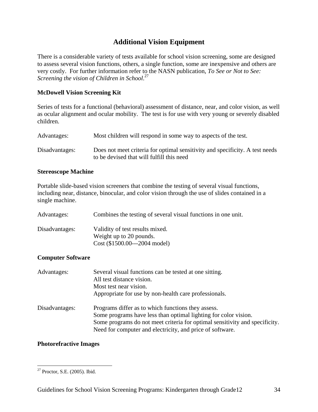# **Additional Vision Equipment**

There is a considerable variety of tests available for school vision screening, some are designed to assess several vision functions, others, a single function, some are inexpensive and others are very costly. For further information refer to the NASN publication, *To See or Not to See: Screening the vision of Children in School*. 27

## **McDowell Vision Screening Kit**

Series of tests for a functional (behavioral) assessment of distance, near, and color vision, as well as ocular alignment and ocular mobility. The test is for use with very young or severely disabled children.

| Advantages:    | Most children will respond in some way to aspects of the test.                                                            |
|----------------|---------------------------------------------------------------------------------------------------------------------------|
| Disadvantages: | Does not meet criteria for optimal sensitivity and specificity. A test needs<br>to be devised that will fulfill this need |

#### **Stereoscope Machine**

Portable slide-based vision screeners that combine the testing of several visual functions, including near, distance, binocular, and color vision through the use of slides contained in a single machine.

| Advantages:    | Combines the testing of several visual functions in one unit.                                |
|----------------|----------------------------------------------------------------------------------------------|
| Disadvantages: | Validity of test results mixed.<br>Weight up to 20 pounds.<br>$Cost ($1500.00---2004 model)$ |

#### **Computer Software**

| Advantages:    | Several visual functions can be tested at one sitting.<br>All test distance vision.<br>Most test near vision.<br>Appropriate for use by non-health care professionals.                                                                                            |
|----------------|-------------------------------------------------------------------------------------------------------------------------------------------------------------------------------------------------------------------------------------------------------------------|
| Disadvantages: | Programs differ as to which functions they assess.<br>Some programs have less than optimal lighting for color vision.<br>Some programs do not meet criteria for optimal sensitivity and specificity.<br>Need for computer and electricity, and price of software. |

#### **Photorefractive Images**

<sup>&</sup>lt;u>.</u>  $27$  Proctor, S.E. (2005). Ibid.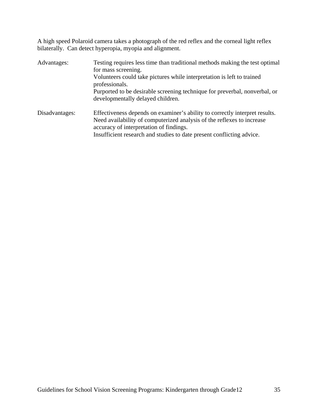A high speed Polaroid camera takes a photograph of the red reflex and the corneal light reflex bilaterally. Can detect hyperopia, myopia and alignment.

| Advantages:    | Testing requires less time than traditional methods making the test optimal<br>for mass screening.<br>Volunteers could take pictures while interpretation is left to trained |  |  |
|----------------|------------------------------------------------------------------------------------------------------------------------------------------------------------------------------|--|--|
|                | professionals.                                                                                                                                                               |  |  |
|                | Purported to be desirable screening technique for preverbal, nonverbal, or<br>developmentally delayed children.                                                              |  |  |
| Disadvantages: | Effectiveness depends on examiner's ability to correctly interpret results.                                                                                                  |  |  |
|                | Need availability of computerized analysis of the reflexes to increase                                                                                                       |  |  |
|                | accuracy of interpretation of findings.                                                                                                                                      |  |  |
|                | Insufficient research and studies to date present conflicting advice.                                                                                                        |  |  |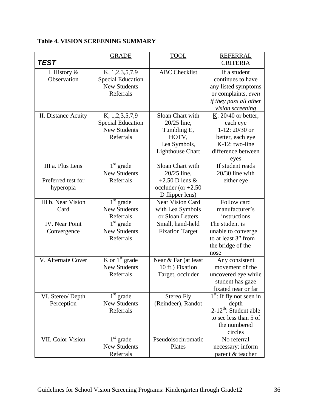# **Table 4. VISION SCREENING SUMMARY**

| <b>TEST</b>                                         | <b>GRADE</b>                                                                   | <b>TOOL</b>                                                                                        | <b>REFERRAL</b>                                                                                                                      |
|-----------------------------------------------------|--------------------------------------------------------------------------------|----------------------------------------------------------------------------------------------------|--------------------------------------------------------------------------------------------------------------------------------------|
|                                                     |                                                                                |                                                                                                    | <b>CRITERIA</b>                                                                                                                      |
| I. History $\&$<br>Observation                      | K, 1,2,3,5,7,9<br><b>Special Education</b><br><b>New Students</b><br>Referrals | <b>ABC</b> Checklist                                                                               | If a student<br>continues to have<br>any listed symptoms<br>or complaints, even<br><i>if they pass all other</i><br>vision screening |
| II. Distance Acuity                                 | K, 1,2,3,5,7,9<br><b>Special Education</b><br><b>New Students</b><br>Referrals | Sloan Chart with<br>20/25 line,<br>Tumbling E,<br>HOTV,<br>Lea Symbols,<br><b>Lighthouse Chart</b> | $K: 20/40$ or better,<br>each eye<br>1-12: 20/30 or<br>better, each eye<br>K-12: two-line<br>difference between<br>eyes              |
| III a. Plus Lens<br>Preferred test for<br>hyperopia | $1st$ grade<br><b>New Students</b><br>Referrals                                | Sloan Chart with<br>20/25 line,<br>$+2.50$ D lens &<br>occluder (or $+2.50$<br>D flipper lens)     | If student reads<br>20/30 line with<br>either eye                                                                                    |
| III b. Near Vision<br>Card                          | $\overline{1}^{\text{st}}$ grade<br><b>New Students</b><br>Referrals           | <b>Near Vision Card</b><br>with Lea Symbols<br>or Sloan Letters                                    | Follow card<br>manufacturer's<br>instructions                                                                                        |
| <b>IV.</b> Near Point<br>Convergence                | $1st$ grade<br><b>New Students</b><br>Referrals                                | Small, hand-held<br><b>Fixation Target</b>                                                         | The student is<br>unable to converge<br>to at least 3" from<br>the bridge of the<br>nose                                             |
| V. Alternate Cover                                  | K or $1st$ grade<br><b>New Students</b><br>Referrals                           | Near & Far (at least<br>10 ft.) Fixation<br>Target, occluder                                       | Any consistent<br>movement of the<br>uncovered eye while<br>student has gaze<br>fixated near or far                                  |
| VI. Stereo/Depth<br>Perception                      | $1st$ grade<br><b>New Students</b><br>Referrals                                | Stereo Fly<br>(Reindeer), Randot                                                                   | $1st$ : If fly not seen in<br>depth<br>$2-12^{th}$ : Student able<br>to see less than 5 of<br>the numbered<br>circles                |
| VII. Color Vision                                   | $1st$ grade<br><b>New Students</b><br>Referrals                                | Pseudoisochromatic<br>Plates                                                                       | No referral<br>necessary: inform<br>parent & teacher                                                                                 |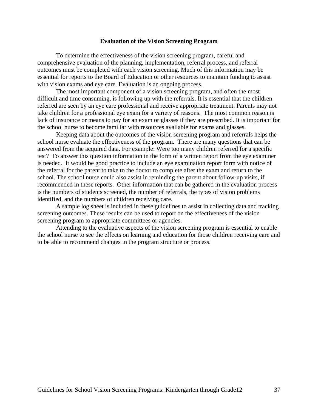#### **Evaluation of the Vision Screening Program**

To determine the effectiveness of the vision screening program, careful and comprehensive evaluation of the planning, implementation, referral process, and referral outcomes must be completed with each vision screening. Much of this information may be essential for reports to the Board of Education or other resources to maintain funding to assist with vision exams and eye care. Evaluation is an ongoing process.

 The most important component of a vision screening program, and often the most difficult and time consuming, is following up with the referrals. It is essential that the children referred are seen by an eye care professional and receive appropriate treatment. Parents may not take children for a professional eye exam for a variety of reasons. The most common reason is lack of insurance or means to pay for an exam or glasses if they are prescribed. It is important for the school nurse to become familiar with resources available for exams and glasses.

 Keeping data about the outcomes of the vision screening program and referrals helps the school nurse evaluate the effectiveness of the program. There are many questions that can be answered from the acquired data. For example: Were too many children referred for a specific test? To answer this question information in the form of a written report from the eye examiner is needed. It would be good practice to include an eye examination report form with notice of the referral for the parent to take to the doctor to complete after the exam and return to the school. The school nurse could also assist in reminding the parent about follow-up visits, if recommended in these reports. Other information that can be gathered in the evaluation process is the numbers of students screened, the number of referrals, the types of vision problems identified, and the numbers of children receiving care.

 A sample log sheet is included in these guidelines to assist in collecting data and tracking screening outcomes. These results can be used to report on the effectiveness of the vision screening program to appropriate committees or agencies.

 Attending to the evaluative aspects of the vision screening program is essential to enable the school nurse to see the effects on learning and education for those children receiving care and to be able to recommend changes in the program structure or process.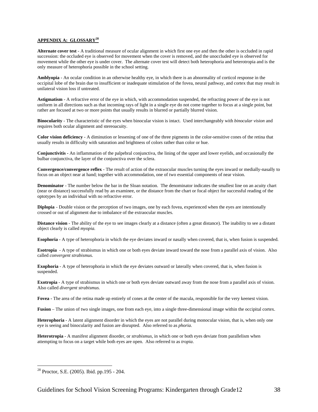#### **APPENDIX A: GLOSSARY<sup>28</sup>**

**Alternate cover test** - A traditional measure of ocular alignment in which first one eye and then the other is occluded in rapid succession: the occluded eye is observed for movement when the cover is removed, and the unoccluded eye is observed for movement while the other eye is under cover. The alternate cover test will detect both heterophoria and heterotropia and is the only measure of heterophoria possible in the school setting.

**Amblyopia** - An ocular condition in an otherwise healthy eye, in which there is an abnormality of corticol response in the occipital lobe of the brain due to insufficient or inadequate stimulation of the fovea, neural pathway, and cortex that may result in unilateral vision loss if untreated.

**Astigmatism** - A refractive error of the eye in which, with accommodation suspended, the refracting power of the eye is not uniform in all directions such as that incoming rays of light in a single eye do not come together to focus at a single point, but rather are focused at two or more points that usually results in blurred or partially blurred vision.

**Binocularity** - The characteristic of the eyes when binocular vision is intact. Used interchangeably with *binocular vision* and requires both ocular alignment and stereoacuity.

**Color vision deficiency** - A diminution or lessening of one of the three pigments in the color-sensitive cones of the retina that usually results in difficulty with saturation and brightness of colors rather than color or hue.

**Conjunctivitis -** An inflammation of the palpebral conjunctiva, the lining of the upper and lower eyelids, and occasionally the bulbar conjunctiva, the layer of the conjunctiva over the sclera.

**Convergence/convergence reflex** - The result of action of the extraocular muscles turning the eyes inward or medially-nasally to focus on an object near at hand; together with accommodation, one of two essential components of near vision.

**Denominator** - The number below the bar in the Sloan notation. The denominator indicates the smallest line on an acuity chart (near or distance) successfully read by an examinee, or the distance from the chart or focal object for successful reading of the optotypes by an individual with no refractive error.

**Diplopia** - Double vision or the perception of two images, one by each fovea, experienced when the eyes are intentionally crossed or out of alignment due to imbalance of the extraocular muscles.

**Distance vision** - The ability of the eye to see images clearly at a distance (often a great distance). The inability to see a distant object clearly is called *myopia.* 

**Esophoria** - A type of heterophoria in which the eye deviates inward or nasally when covered, that is, when fusion is suspended.

**Esotropia** - A type of strabismus in which one or both eyes deviate inward toward the nose from a parallel axis of vision. Also called *convergent strabismus.* 

**Exophoria** - A type of heterophoria in which the eye deviates outward or laterally when covered, that is, when fusion is suspended.

**Exotropia** - A type of strabismus in which one or both eyes deviate outward away from the nose from a parallel axis of vision. Also called *divergent strabismus.* 

**Fovea -** The area of the retina made up entirely of cones at the center of the macula, responsible for the very keenest vision.

**Fusion** – The union of two single images, one from each eye, into a single three-dimensional image within the occipital cortex.

**Heterophoria** - A latent alignment disorder in which the eyes are not parallel during monocular vision, that is, when only one eye is seeing and binocularity and fusion are disrupted. Also referred to as *phoria*.

**Heterotropia** - A manifest alignment disorder, or *strabismus*, in which one or both eyes deviate from parallelism when attempting to focus on a target while both eyes are open. Also referred to as *tropia*.

<sup>28</sup> Proctor, S.E. (2005). Ibid. pp.195 - 204.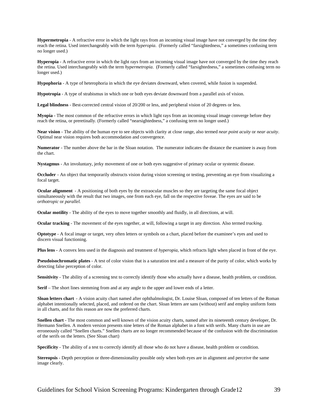**Hypermetropia** - A refractive error in which the light rays from an incoming visual image have not converged by the time they reach the retina. Used interchangeably with the term *hyperopia*. (Formerly called "farsightedness," a sometimes confusing term no longer used.)

**Hyperopia** - A refractive error in which the light rays from an incoming visual image have not converged by the time they reach the retina. Used interchangeably with the term *hypermetropia*. (Formerly called "farsightedness," a sometimes confusing term no longer used.)

**Hypophoria** - A type of heterophoria in which the eye deviates downward, when covered, while fusion is suspended.

**Hypotropia** - A type of strabismus in which one or both eyes deviate downward from a parallel axis of vision.

**Legal blindness** - Best-corrected central vision of 20/200 or less, and peripheral vision of 20 degrees or less.

**Myopia** - The most common of the refractive errors in which light rays from an incoming visual image converge before they reach the retina, or preretinally. (Formerly called "nearsightedness," a confusing term no longer used.)

**Near vision** - The ability of the human eye to see objects with clarity at close range, also termed *near point acuity* or *near acuity*. Optimal near vision requires both accommodation and convergence.

**Numerator** - The number above the bar in the Sloan notation. The numerator indicates the distance the examinee is away from the chart.

**Nystagmus** - An involuntary, jerky movement of one or both eyes suggestive of primary ocular or systemic disease.

**Occluder** - An object that temporarily obstructs vision during vision screening or testing, preventing an eye from visualizing a focal target.

**Ocular alignment** - A positioning of both eyes by the extraocular muscles so they are targeting the same focal object simultaneously with the result that two images, one from each eye, fall on the respective foveae. The eyes are said to be *orthotropic* or *parallel.* 

**Ocular motility** - The ability of the eyes to move together smoothly and fluidly, in all directions, at will.

**Ocular tracking** - The movement of the eyes together, at will, following a target in any direction. Also termed *tracking*.

**Optotype** - A focal image or target, very often letters or symbols on a chart, placed before the examinee's eyes and used to discern visual functioning.

**Plus lens -** A convex lens used in the diagnosis and treatment of *hyperopia*, which refracts light when placed in front of the eye.

**Pseudoisochromatic plates** - A test of color vision that is a saturation test and a measure of the purity of color, which works by detecting false perception of color.

**Sensitivity** - The ability of a screening test to correctly identify those who actually have a disease, health problem, or condition.

**Serif** – The short lines stemming from and at any angle to the upper and lower ends of a letter.

**Sloan letters chart** - A vision acuity chart named after ophthalmologist, Dr. Louise Sloan, composed of ten letters of the Roman alphabet intentionally selected, placed, and ordered on the chart. Sloan letters are sans (without) serif and employ uniform fonts in all charts, and for this reason are now the preferred charts.

**Snellen chart** - The most common and well known of the vision acuity charts, named after its nineteenth century developer, Dr. Hermann Snellen. A modern version presents nine letters of the Roman alphabet in a font with serifs. Many charts in use are erroneously called "Snellen charts." Snellen charts are no longer recommended because of the confusion with the discrimination of the serifs on the letters. (See Sloan chart)

**Specificity** - The ability of a test to correctly identify all those who do not have a disease, health problem or condition.

**Stereopsis** - Depth perception or three-dimensionality possible only when both eyes are in alignment and perceive the same image clearly.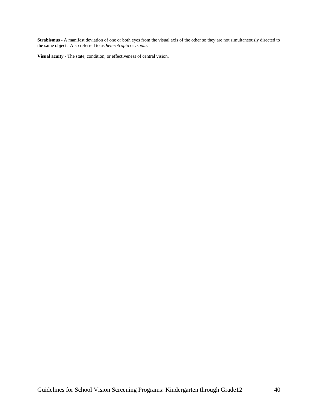**Strabismus** - A manifest deviation of one or both eyes from the visual axis of the other so they are not simultaneously directed to the same object. Also referred to as *heterotropia* or *tropia*.

**Visual acuity** - The state, condition, or effectiveness of central vision.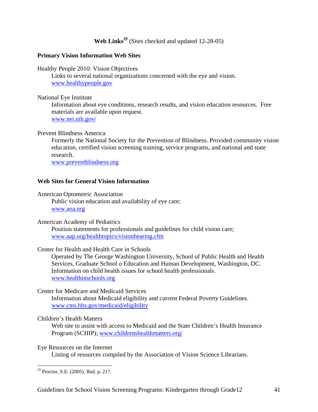Web Links<sup>29</sup> (Sites checked and updated 12-28-05)

#### **Primary Vision Information Web Sites**

Healthy People 2010: Vision Objectives

Links to several national organizations concerned with the eye and vision. www.healthypeople.gov

#### National Eye Institute

Information about eye conditions, research results, and vision education resources. Free materials are available upon request. www.nei.nih.gov/

#### Prevent Blindness America

Formerly the National Society for the Prevention of Blindness. Provided community vision education, certified vision screening training, service programs, and national and state research.

www.preventblindness.org

#### **Web Sites for General Vision Information**

#### American Optometric Association

Public vision education and availability of eye care; www.aoa.org

#### American Academy of Pediatrics

Position statements for professionals and guidelines for child vision care; www.aap.org/healthtopics/visionhearing.cfm

#### Center for Health and Health Care in Schools

Operated by The George Washington University, School of Public Health and Health Services, Graduate School o Education and Human Development, Washington, DC. Information on child health issues for school health professionals. www.healthinschools.org

#### Center for Medicare and Medicaid Services

Information about Medicaid eligibility and current Federal Poverty Guidelines. www.cms.hhs.gov/medicaid/eligibility

#### Children's Health Matters

Web site to assist with access to Medicaid and the State Children's Health Insurance Program (SCHIP); www.childrenshealthmatters.org/

Eye Resources on the Internet

Listing of resources compiled by the Association of Vision Science Librarians.

<u>.</u>

<sup>&</sup>lt;sup>29</sup> Proctor, S.E. (2005). Ibid. p. 217.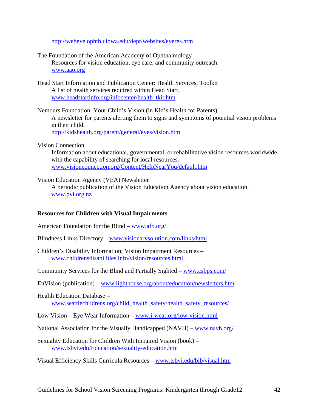http://webeye.ophth.uiowa.edu/dept/websites/eyeres.htm

- The Foundation of the American Academy of Ophthalmology Resources for vision education, eye care, and community outreach. www.aao.org
- Head Start Information and Publication Center: Health Services, Toolkit A list of health services required within Head Start. www.headstartinfo.org/infocenter/health\_tkit.htm
- Nemours Foundation: Your Child's Vision (in Kid's Health for Parents) A newsletter for parents alerting them to signs and symptoms of potential vision problems in their child. http://kidshealth.org/parent/general/eyes/vision.html
- Vision Connection

Information about educational, governmental, or rehabilitative vision resources worldwide, with the capability of searching for local resources. www.visionconnection.org/Content/HelpNearYou/default.htm

Vision Education Agency (VEA) Newsletter

A periodic publication of the Vision Education Agency about vision education. www.pvi.org.nz

#### **Resources for Children with Visual Impairments**

American Foundation for the Blind – www.afb.org/

- Blindness Links Directory www.visionarysolution.com/links/html
- Children's Disability Information; Vision Impairment Resources www.childrensdisabilities.info/vision/resources.html
- Community Services for the Blind and Partially Sighted www.csbps.com/
- EnVision (publication) www.lighthouse.org/about/education/newsletters.htm

## Health Education Database – www.seattlechildrens.org/child\_health\_safety/health\_safety\_resources/

- Low Vision Eye Wear Information www.i-wear.org/low-vision.html
- National Association for the Visually Handicapped (NAVH) www.navh.org/
- Sexuality Education for Children With Impaired Vision (book) www.tsbvi.edu/Education/sexuality-education.htm

Visual Efficiency Skills Curricula Resources – www.tsbvi.edu/bib/visual.htm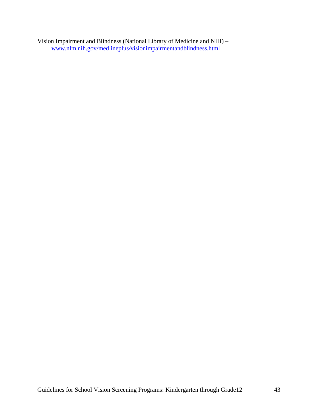Vision Impairment and Blindness (National Library of Medicine and NIH) – www.nlm.nih.gov/medlineplus/visionimpairmentandblindness.html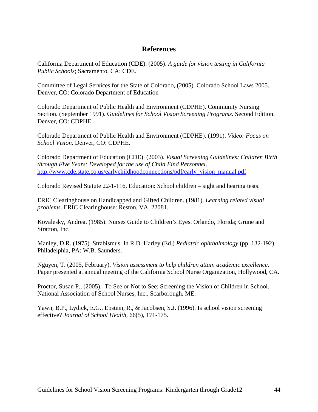## **References**

California Department of Education (CDE). (2005). *A guide for vision testing in California Public Schools*; Sacramento, CA: CDE.

Committee of Legal Services for the State of Colorado, (2005). Colorado School Laws 2005. Denver, CO: Colorado Department of Education

Colorado Department of Public Health and Environment (CDPHE). Community Nursing Section. (September 1991). G*uidelines for School Vision Screening Programs*. Second Edition. Denver, CO: CDPHE.

Colorado Department of Public Health and Environment (CDPHE). (1991). *Video: Focus on School Vision.* Denver, CO: CDPHE.

Colorado Department of Education (CDE). (2003). *Visual Screening Guidelines: Children Birth through Five Years: Developed for the use of Child Find Personnel*. http://www.cde.state.co.us/earlychildhoodconnections/pdf/early\_vision\_manual.pdf

Colorado Revised Statute 22-1-116. Education: School children – sight and hearing tests.

ERIC Clearinghouse on Handicapped and Gifted Children. (1981). *Learning related visual problems*. ERIC Clearinghouse: Reston, VA, 22081.

Kovalesky, Andrea. (1985). Nurses Guide to Children's Eyes. Orlando, Florida; Grune and Stratton, Inc.

Manley, D.R. (1975). Strabismus. In R.D. Harley (Ed.) *Pediatric ophthalmology* (pp. 132-192). Philadelphia, PA: W.B. Saunders.

Nguyen, T. (2005, February). *Vision assessment to help children attain academic excellence.*  Paper presented at annual meeting of the California School Nurse Organization, Hollywood, CA.

Proctor, Susan P., (2005). To See or Not to See: Screening the Vision of Children in School. National Association of School Nurses, Inc., Scarborough, ME.

Yawn, B.P., Lydick, E.G., Epstein, R., & Jacobsen, S.J. (1996). Is school vision screening effective? *Journal of School Health,* 66(5), 171-175.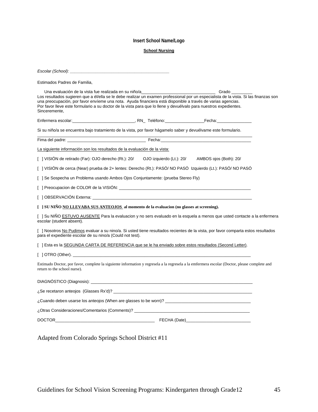#### **Insert School Name/Logo**

#### **School Nursing**

| Estimados Padres de Familia,                                                                                                                                                                                                                                                                                                                                                                                                                                              |
|---------------------------------------------------------------------------------------------------------------------------------------------------------------------------------------------------------------------------------------------------------------------------------------------------------------------------------------------------------------------------------------------------------------------------------------------------------------------------|
| Una evaluación de la vista fue realizada en su niño/a<br><b>Sando</b> Grado<br>Los resultados sugieren que a él/ella se le debe realizar un examen professional por un especialista de la vista. Si las finanzas son<br>una preocupación, por favor envíeme una nota. Ayuda financiera está disponible a través de varias agencias.<br>Por favor lleve este formulario a su doctor de la vista para que lo llene y devuélvalo para nuestros expedientes.<br>Sinceremente, |
|                                                                                                                                                                                                                                                                                                                                                                                                                                                                           |
| Si su niño/a se encuentra bajo tratamiento de la vista, por favor hágamelo saber y devuélvame este formulario.                                                                                                                                                                                                                                                                                                                                                            |
|                                                                                                                                                                                                                                                                                                                                                                                                                                                                           |
| La siguiente información son los resultados de la evaluación de la vista:                                                                                                                                                                                                                                                                                                                                                                                                 |
| [ ] VISIÓN de retirado (Far): OJO derecho (Rt.): 20/    QJO izquierdo (Lt.): 20/    AMBOS ojos (Both): 20/                                                                                                                                                                                                                                                                                                                                                                |
| [ ] VISIÓN de cerca (Near) prueba de 2+ lentes: Derecho (Rt.): PASÓ/ NO PASÓ Izquierdo (Lt.): PASÓ/ NO PASÓ                                                                                                                                                                                                                                                                                                                                                               |
| [ 1 Se Sospecha un Problema usando Ambos Ojos Conjuntamente: (prueba Stereo Fly)                                                                                                                                                                                                                                                                                                                                                                                          |
|                                                                                                                                                                                                                                                                                                                                                                                                                                                                           |
|                                                                                                                                                                                                                                                                                                                                                                                                                                                                           |
| [ ] SU NIÑO NO LLEVABA SUS ANTEOJOS al momento de la evaluacion (no glasses at screening).                                                                                                                                                                                                                                                                                                                                                                                |
| [ ] Su NIÑO ESTUVO AUSENTE Para la evaluacion y no sers evaluado en la esquela a menos que usted contacte a la enfermera<br>escolar (student absent).                                                                                                                                                                                                                                                                                                                     |
| [ ] Nosotros No Pudimos evaluar a su nino/a. Si usted tiene resultados recientes de la vista, por favor comparta estos resultados<br>para el expediente escolar de su nino/a (Could not test).                                                                                                                                                                                                                                                                            |
| [ ] Esta es la SEGUNDA CARTA DE REFERENCIA que se le ha enviado sobre estos resultados (Second Letter).                                                                                                                                                                                                                                                                                                                                                                   |
|                                                                                                                                                                                                                                                                                                                                                                                                                                                                           |
| Estimado Doctor, por favor, complete la siguiente information y regresela a la regresela a la emfermera escolar (Doctor, please complete and<br>return to the school nurse).                                                                                                                                                                                                                                                                                              |
|                                                                                                                                                                                                                                                                                                                                                                                                                                                                           |
|                                                                                                                                                                                                                                                                                                                                                                                                                                                                           |
| ¿Cuando deben usarse los anteojos (When are glasses to be worn)? [[11] Cuando deben usarse los anteojos (When are glasses to be worn)? [[11] Cuando deben usarse los anteojos (When are glasses to be worn)? [[11] Cuando debe                                                                                                                                                                                                                                            |
|                                                                                                                                                                                                                                                                                                                                                                                                                                                                           |
|                                                                                                                                                                                                                                                                                                                                                                                                                                                                           |

Adapted from Colorado Springs School District #11